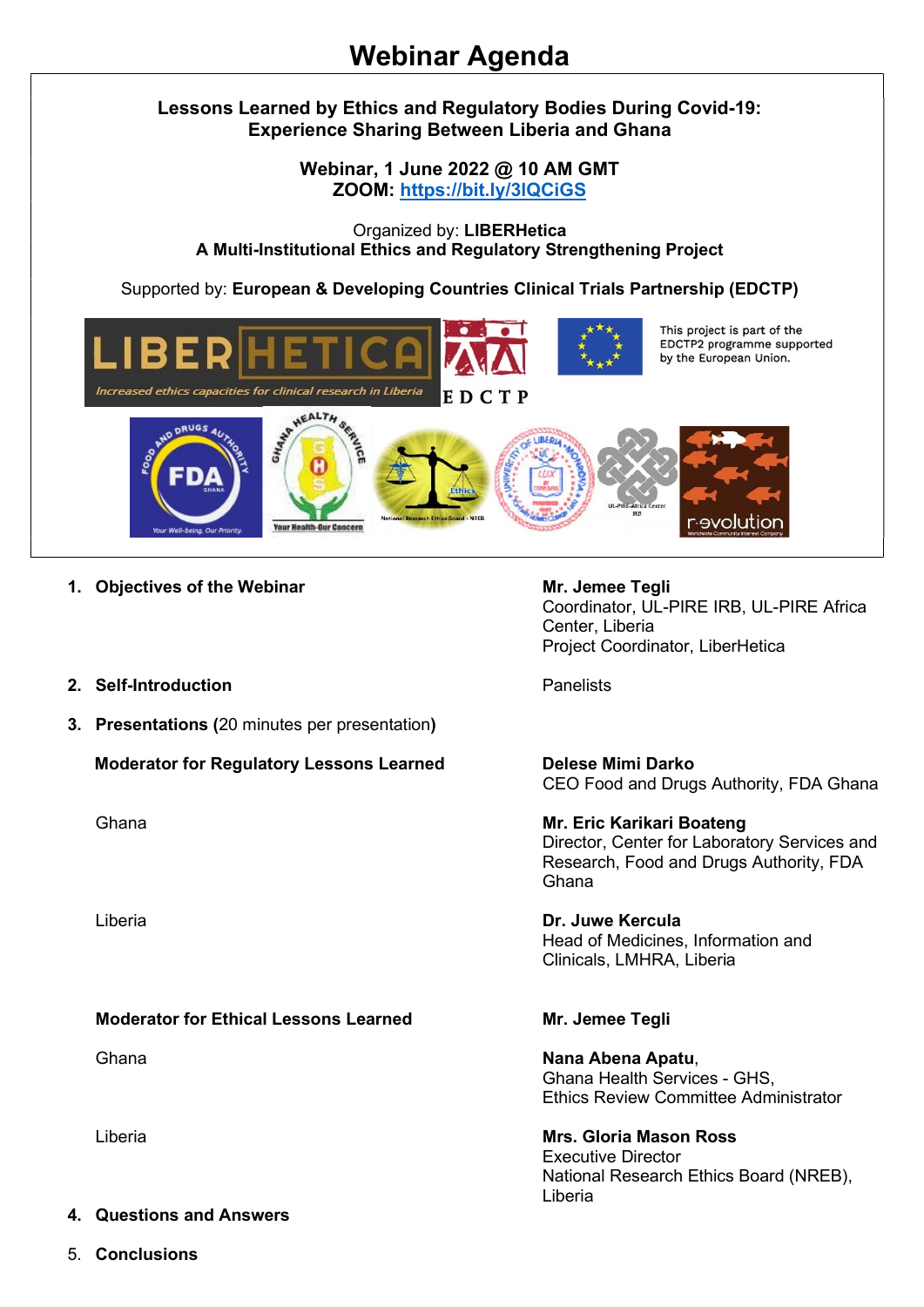# Lessons Learned by Ethics and Regulatory Bodies During Covid-19: Experience Sharing Between Liberia and Ghana

Webinar, 1 June 2022 @ 10 AM GMT ZOOM: https://bit.ly/3lQCiGS

Organized by: LIBERHetica A Multi-Institutional Ethics and Regulatory Strengthening Project

Supported by: European & Developing Countries Clinical Trials Partnership (EDCTP)



- 1. Objectives of the Webinar Mr. Jemee Tegli
- 2. Self-Introduction Panelists
- 3. Presentations (20 minutes per presentation)

Moderator for Regulatory Lessons Learned Delese Mimi Darko

## Moderator for Ethical Lessons Learned Mr. Jemee Tegli

### 4. Questions and Answers

5. Conclusions

Coordinator, UL-PIRE IRB, UL-PIRE Africa Center, Liberia Project Coordinator, LiberHetica

CEO Food and Drugs Authority, FDA Ghana

Ghana **Mr. Eric Karikari Boateng** Director, Center for Laboratory Services and Research, Food and Drugs Authority, FDA Ghana

Liberia Dr. Juwe Kercula Head of Medicines, Information and Clinicals, LMHRA, Liberia

Ghana **Nana Abena Abatu, katika ing kaleng Kabupaten Sebana Abatu**, kata katika ing kabupaten Indonesia. Kabupaten Indonesia Indonesia Kabupaten Indonesia Indonesia Indonesia Indonesia Indonesia Indonesia Indonesia Indones Ghana Health Services - GHS, Ethics Review Committee Administrator

Liberia Mrs. Gloria Mason Ross Executive Director National Research Ethics Board (NREB), Liberia